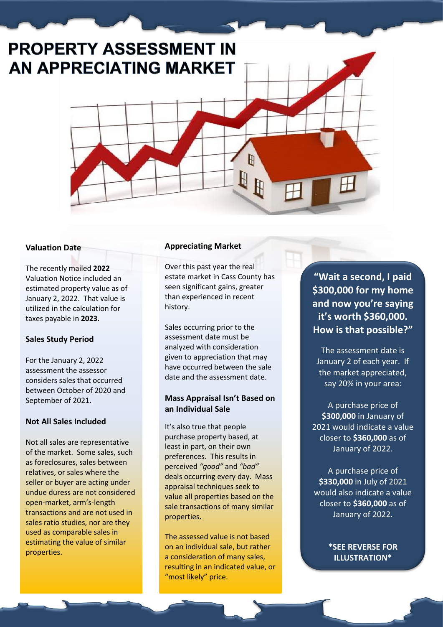# **PROPERTY ASSESSMENT IN AN APPRECIATING MARKET**



#### **Valuation Date**

The recently mailed **2022** Valuation Notice included an estimated property value as of January 2, 2022. That value is utilized in the calculation for taxes payable in **2023**.

#### **Sales Study Period**

For the January 2, 2022 assessment the assessor considers sales that occurred between October of 2020 and September of 2021.

#### **Not All Sales Included**

Not all sales are representative of the market. Some sales, such as foreclosures, sales between relatives, or sales where the seller or buyer are acting under undue duress are not considered open-market, arm's-length transactions and are not used in sales ratio studies, nor are they used as comparable sales in estimating the value of similar properties.

#### **Appreciating Market**

Over this past year the real estate market in Cass County has seen significant gains, greater than experienced in recent history.

Sales occurring prior to the assessment date must be analyzed with consideration given to appreciation that may have occurred between the sale date and the assessment date.

#### **Mass Appraisal Isn't Based on an Individual Sale**

It's also true that people purchase property based, at least in part, on their own preferences. This results in perceived *"good"* and *"bad"* deals occurring every day. Mass appraisal techniques seek to value all properties based on the sale transactions of many similar properties.

The assessed value is not based on an individual sale, but rather a consideration of many sales, resulting in an indicated value, or "most likely" price.

**"Wait a second, I paid \$300,000 for my home and now you're saying it's worth \$360,000. How is that possible?"**

The assessment date is January 2 of each year. If the market appreciated, say 20% in your area:

A purchase price of **\$300,000** in January of 2021 would indicate a value closer to **\$360,000** as of January of 2022.

A purchase price of **\$330,000** in July of 2021 would also indicate a value closer to **\$360,000** as of January of 2022.

> **\*SEE REVERSE FOR ILLUSTRATION\***